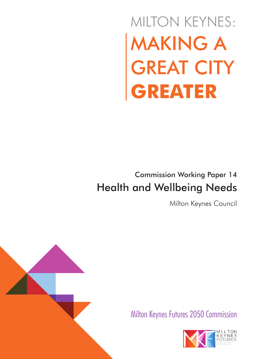# MAKING A GREAT CITY **GREATER** MILTON KEYNES:

## Commission Working Paper 14 Health and Wellbeing Needs

Milton Keynes Council



Milton Keynes Futures 2050 Commission

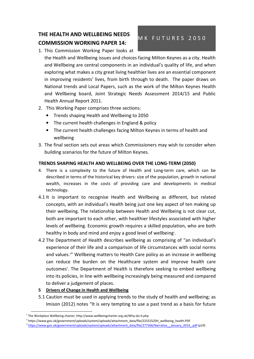### THE HEALTH AND WELLBEING NEEDS COMMISSION WORKING PAPER 14:

#### M K F U T U R E S 2050

1. This Commission Working Paper looks at

the Health and Wellbeing issues and choices facing Milton Keynes as a city. Health and Wellbeing are central components in an individual's quality of life, and when exploring what makes a city great living healthier lives are an essential component in improving residents' lives, from birth through to death. The paper draws on National trends and Local Papers, such as the work of the Milton Keynes Health and Wellbeing board, Joint Strategic Needs Assessment 2014/15 and Public Health Annual Report 2011.

- 2. This Working Paper comprises three sections:
	- Trends shaping Health and Wellbeing to 2050
	- The current health challenges in England & policy
	- The current health challenges facing Milton Keynes in terms of health and wellbeing
- 3. The final section sets out areas which Commissioners may wish to consider when building scenarios for the future of Milton Keynes.

#### TRENDS SHAPING HEALTH AND WELLBEING OVER THE LONG-TERM (2050)

- 4. There is a complexity to the future of Health and Long-term care, which can be described in terms of the historical key drivers: size of the population, growth in national wealth, increases in the costs of providing care and developments in medical technology.
- 4.1 It is important to recognise Health and Wellbeing as different, but related concepts, with an individual's Health being just one key aspect of ten making up their wellbeing. The relationship between Health and Wellbeing is not clear cut, both are important to each other, with healthier lifestyles associated with higher levels of wellbeing. Economic growth requires a skilled population, who are both healthy in body and mind and enjoy a good level of wellbeing<sup>1</sup>.
- 4.2 The Department of Health describes wellbeing as comprising of "an individual's experience of their life and a comparison of life circumstances with social norms and values.<sup>2</sup>" Wellbeing matters to Health Care policy as an increase in wellbeing can reduce the burden on the Healthcare system and improve health care outcomes<sup>3</sup>. The Department of Health is therefore seeking to embed wellbeing into its policies, in line with wellbeing increasingly being measured and compared to deliver a judgement of places.
- 5 Drivers of Change in Health and Wellbeing

-

5.1 Caution must be used in applying trends to the study of health and wellbeing; as Imison (2012) notes "It is very tempting to use a past trend as a basis for future

 $^1$  The Workplace Wellbeing charter, http://www.wellbeingcharter.org.uk/Why-do-it.php

<sup>2</sup> https://www.gov.uk/government/uploads/system/uploads/attachment\_data/file/225525/DH\_wellbeing\_health.PDF

<sup>3</sup> https://www.gov.uk/government/uploads/system/uploads/attachment\_data/file/277566/Narrative\_\_January\_2014\_.pdf (p19)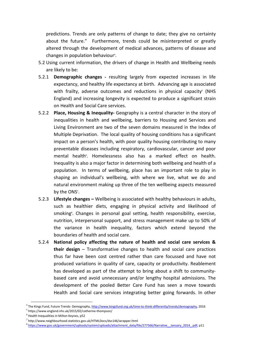predictions. Trends are only patterns of change to date; they give no certainty about the future." Furthermore, trends could be misinterpreted or greatly altered through the development of medical advances, patterns of disease and changes in population behaviour<sup>4</sup>.

- 5.2 Using current information, the drivers of change in Health and Wellbeing needs are likely to be:
- 5.2.1 Demographic changes resulting largely from expected increases in life expectancy, and healthy life expectancy at birth. Advancing age is associated with frailty, adverse outcomes and reductions in physical capacity<sup>5</sup> (NHS England) and increasing longevity is expected to produce a significant strain on Health and Social Care services.
- 5.2.2 Place, Housing & Inequality- Geography is a central character in the story of inequalities in health and wellbeing, barriers to Housing and Services and Living Environment are two of the seven domains measured in the Index of Multiple Deprivation. The local quality of housing conditions has a significant impact on a person's health, with poor quality housing contributing to many preventable diseases including respiratory, cardiovascular, cancer and poor mental health<sup>6</sup>. Homelessness also has a marked effect on health. Inequality is also a major factor in determining both wellbeing and health of a population. In terms of wellbeing, place has an important role to play in shaping an individual's wellbeing, with where we live, what we do and natural environment making up three of the ten wellbeing aspects measured by the ONS<sup>7</sup>.
- 5.2.3 Lifestyle changes Wellbeing is associated with healthy behaviours in adults, such as healthier diets, engaging in physical activity and likelihood of smoking<sup>8</sup>. Changes in personal goal setting, health responsibility, exercise, nutrition, interpersonal support, and stress management make up to 50% of the variance in health inequality, factors which extend beyond the boundaries of health and social care.
- 5.2.4 National policy affecting the nature of health and social care services & their design – Transformative changes to health and social care practices thus far have been cost centred rather than care focussed and have not produced variations in quality of care, capacity or productivity. Reablement has developed as part of the attempt to bring about a shift to communitybased care and avoid unnecessary and/or lengthy hospital admissions. The development of the pooled Better Care Fund has seen a move towards Health and Social care services integrating better going forwards. In other

<sup>&</sup>lt;sup>4</sup> The Kings Fund, Future Trends- Demography, http://www.kingsfund.org.uk/time-to-think-differently/trends/demography, 2016

<sup>5</sup> https://www.england.nhs.uk/2015/02/catherine-thompson/

<sup>6</sup> Health Inequalities in Milton Keynes, p52

<sup>&</sup>lt;sup>7</sup> http://www.neighbourhood.statistics.gov.uk/HTMLDocs/dvc146/wrapper.html

<sup>&</sup>lt;sup>8</sup> https://www.gov.uk/government/uploads/system/uploads/attachment\_data/file/277566/Narrative\_\_January\_2014\_.pdf, p11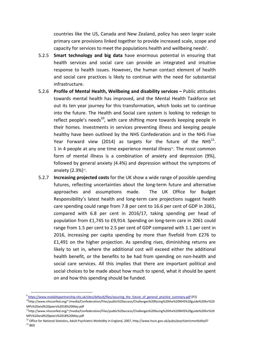countries like the US, Canada and New Zealand, policy has seen larger scale primary care provisions linked together to provide increased scale, scope and capacity for services to meet the populations health and wellbeing needs<sup>9</sup>.

- 5.2.5 Smart technology and big data have enormous potential in ensuring that health services and social care can provide an integrated and intuitive response to health issues. However, the human contact element of health and social care practices is likely to continue with the need for substantial infrastructure.
- 5.2.6 Profile of Mental Health, Wellbeing and disability services Public attitudes towards mental health has improved, and the Mental Health Taskforce set out its ten year journey for this transformation, which looks set to continue into the future. The Health and Social care system is looking to redesign to reflect people's needs<sup>10</sup>, with care shifting more towards keeping people in their homes. Investments in services preventing illness and keeping people healthy have been outlined by the NHS Confederation and in the NHS Five Year Forward view (2014) as targets for the future of the NHS $^{11}$ . 1 in 4 people at any one time experience mental illness $12$ . The most common form of mental illness is a combination of anxiety and depression (9%), followed by general anxiety (4.4%) and depression without the symptoms of anxiety  $(2.3\%)^{13}$ .
- 5.2.7 Increasing projected costs for the UK show a wide range of possible spending futures, reflecting uncertainties about the long-term future and alternative approaches and assumptions made. The UK Office for Budget Responsibility's latest health and long-term care projections suggest health care spending could range from 7.8 per cent to 16.6 per cent of GDP in 2061, compared with 6.8 per cent in 2016/17, taking spending per head of population from £1,745 to £9,914. Spending on long-term care in 2061 could range from 1.5 per cent to 2.5 per cent of GDP compared with 1.1 per cent in 2016, increasing per capita spending by more than fivefold from £276 to £1,491 on the higher projection. As spending rises, diminishing returns are likely to set in, where the additional cost will exceed either the additional health benefit, or the benefits to be had from spending on non-health and social care services. All this implies that there are important political and social choices to be made about how much to spend, what it should be spent on and how this spending should be funded.

<sup>&</sup>lt;sup>9</sup> https://www.modalitypartnership.nhs.uk/sites/default/files/securing\_the\_future\_of\_general\_practice\_summary.pdf (P2)

<sup>10</sup>http://www.nhsconfed.org/~/media/Confederation/Files/public%20access/Challenges%20facing%20the%20NHS%20guide%20for%20 MPs%20and%20peers%2018%20May.pdf

<sup>11</sup>http://www.nhsconfed.org/~/media/Confederation/Files/public%20access/Challenges%20facing%20the%20NHS%20guide%20for%20 MPs%20and%20peers%2018%20May.pdf

 $12$  Office for National Statistics, Adult Psychiatric Morbidity in England, 2007, http://www.hscic.gov.uk/pubs/psychiatricmorbidity07  $^{\rm 13}$  IBID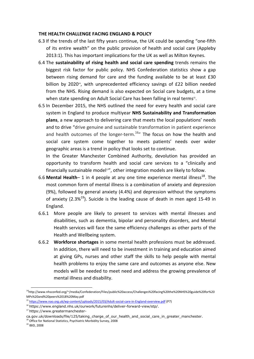#### THE HEALTH CHALLENGE FACING ENGLAND & POLICY

- 6.3 If the trends of the last fifty years continue, the UK could be spending "one-fifth of its entire wealth" on the public provision of health and social care (Appleby 2013:1). This has important implications for the UK as well as Milton Keynes.
- 6.4 The sustainability of rising health and social care spending trends remains the biggest risk factor for public policy. NHS Confederation statistics show a gap between rising demand for care and the funding available to be at least £30 billion by 2020<sup>14</sup>, with unprecedented efficiency savings of £22 billion needed from the NHS. Rising demand is also expected on Social care budgets, at a time when state spending on Adult Social Care has been falling in real terms<sup>15</sup>.
- 6.5 In December 2015, the NHS outlined the need for every health and social care system in England to produce multiyear NHS Sustainability and Transformation plans, a new approach to delivering care that meets the local populations' needs and to drive "drive genuine and sustainable transformation in patient experience and health outcomes of the longer-term.<sup>16</sup>" The focus on how the health and social care system come together to meets patients' needs over wider geographic areas is a trend in policy that looks set to continue.

In the Greater Manchester Combined Authority, devolution has provided an opportunity to transform health and social care services to a "clinically and financially sustainable model<sup>17"</sup>, other integration models are likely to follow.

- 6.6 Mental Health– 1 in 4 people at any one time experience mental illness<sup>18</sup>. The most common form of mental illness is a combination of anxiety and depression (9%), followed by general anxiety (4.4%) and depression without the symptoms of anxiety (2.3% $^{19}$ ). Suicide is the leading cause of death in men aged 15-49 in England.
- 6.6.1 More people are likely to present to services with mental illnesses and disabilities, such as dementia, bipolar and personality disorders, and Mental Health services will face the same efficiency challenges as other parts of the Health and Wellbeing system.
- 6.6.2 Workforce shortages in some mental health professions must be addressed. In addition, there will need to be investment in training and education aimed at giving GPs, nurses and other staff the skills to help people with mental health problems to enjoy the same care and outcomes as anyone else. New models will be needed to meet need and address the growing prevalence of mental illness and disability.

<sup>&</sup>lt;sup>14</sup>http://www.nhsconfed.org/~/media/Confederation/Files/public%20access/Challenges%20facing%20the%20NHS%20guide%20for%20 MPs%20and%20peers%2018%20May.pdf

<sup>15</sup> https://www.nao.org.uk/wp-content/uploads/2015/03/Adult-social-care-in-England-overview.pdf (P7)

<sup>&</sup>lt;sup>16</sup> https://www.england.nhs.uk/ourwork/futurenhs/deliver-forward-view/stp/.

<sup>17</sup> https://www.greatermanchester-

ca.gov.uk/downloads/file/125/taking\_charge\_of\_our\_health\_and\_social\_care\_in\_greater\_manchester.

<sup>&</sup>lt;sup>18</sup> Office for National Statistics, Psychiatric Morbidity Survey, 2008

<sup>19</sup> IBID, 2008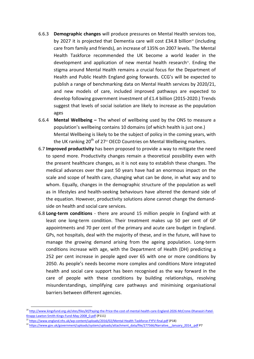- 6.6.3 Demographic changes will produce pressures on Mental Health services too, by 2027 it is projected that Dementia care will cost  $E34.8$  billion<sup>20</sup> (including care from family and friends), an increase of 135% on 2007 levels. The Mental Health Taskforce recommended the UK become a world leader in the development and application of new mental health research $21$ . Ending the stigma around Mental Health remains a crucial focus for the Department of Health and Public Health England going forwards. CCG's will be expected to publish a range of benchmarking data on Mental Health services by 2020/21, and new models of care, included improved pathways are expected to develop following government investment of £1.4 billion (2015-2020.) Trends suggest that levels of social isolation are likely to increase as the population ages
- 6.6.4 Mental Wellbeing The wheel of wellbeing used by the ONS to measure a population's wellbeing contains 10 domains (of which health is just one.) Mental Wellbeing is likely to be the subject of policy in the coming years, with the UK ranking  $20^{th}$  of 27<sup>22</sup> OECD Countries on Mental Wellbeing markers.
- 6.7 Improved productivity has been proposed to provide a way to mitigate the need to spend more. Productivity changes remain a theoretical possibility even with the present healthcare changes, as it is not easy to establish these changes. The medical advances over the past 50 years have had an enormous impact on the scale and scope of health care, changing what can be done, in what way and to whom. Equally, changes in the demographic structure of the population as well as in lifestyles and health-seeking behaviours have altered the demand side of the equation. However, productivity solutions alone cannot change the demandside on health and social care services.
- 6.8 Long-term conditions there are around 15 million people in England with at least one long-term condition. Their treatment makes up 50 per cent of GP appointments and 70 per cent of the primary and acute care budget in England. GPs, not hospitals, deal with the majority of these, and in the future, will have to manage the growing demand arising from the ageing population. Long-term conditions increase with age, with the Department of Health (DH) predicting a 252 per cent increase in people aged over 65 with one or more conditions by 2050. As people's needs become more complex and conditions More integrated health and social care support has been recognised as the way forward in the care of people with these conditions by building relationships, resolving misunderstandings, simplifying care pathways and minimising organisational barriers between different agencies.

<sup>&</sup>lt;sup>20</sup> http://www.kingsfund.org.uk/sites/files/kf/Paying-the-Price-the-cost-of-mental-health-care-England-2026-McCrone-Dhanasiri-Patel-Knapp-Lawton-Smith-Kings-Fund-May-2008\_0.pdf (P111)

<sup>21</sup> https://www.england.nhs.uk/wp-content/uploads/2016/02/Mental-Health-Taskforce-FYFV-final.pdf (P18)

<sup>&</sup>lt;sup>22</sup> https://www.gov.uk/government/uploads/system/uploads/attachment\_data/file/277566/Narrative\_January\_2014\_.pdf P7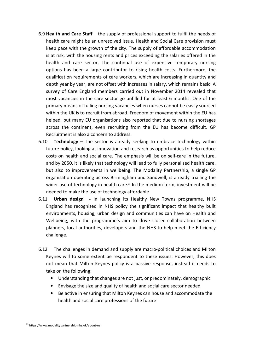- 6.9 Health and Care Staff the supply of professional support to fulfil the needs of health care might be an unresolved issue, Health and Social Care provision must keep pace with the growth of the city. The supply of affordable accommodation is at risk, with the housing rents and prices exceeding the salaries offered in the health and care sector. The continual use of expensive temporary nursing options has been a large contributor to rising health costs. Furthermore, the qualification requirements of care workers, which are increasing in quantity and depth year by year, are not offset with increases in salary, which remains basic. A survey of Care England members carried out in November 2014 revealed that most vacancies in the care sector go unfilled for at least 6 months. One of the primary means of fulling nursing vacancies when nurses cannot be easily sourced within the UK is to recruit from abroad. Freedom of movement within the EU has helped, but many EU organisations also reported that due to nursing shortages across the continent, even recruiting from the EU has become difficult. GP Recruitment is also a concern to address.
- 6.10 **Technology** The sector is already seeking to embrace technology within future policy, looking at innovation and research as opportunities to help reduce costs on health and social care. The emphasis will be on self-care in the future, and by 2050, it is likely that technology will lead to fully personalised health care, but also to improvements in wellbeing. The Modality Partnership, a single GP organisation operating across Birmingham and Sandwell, is already trialling the wider use of technology in health care.<sup>23</sup> In the medium term, investment will be needed to make the use of technology affordable
- 6.11 Urban design In launching its Healthy New Towns programme, NHS England has recognised in NHS policy the significant impact that healthy built environments, housing, urban design and communities can have on Health and Wellbeing, with the programme's aim to drive closer collaboration between planners, local authorities, developers and the NHS to help meet the Efficiency challenge.
- 6.12 The challenges in demand and supply are macro-political choices and Milton Keynes will to some extent be respondent to these issues. However, this does not mean that Milton Keynes policy is a passive response, instead it needs to take on the following:
	- Understanding that changes are not just, or predominately, demographic
	- Envisage the size and quality of health and social care sector needed
	- Be active in ensuring that Milton Keynes can house and accommodate the health and social care professions of the future

-

<sup>23</sup> https://www.modalitypartnership.nhs.uk/about-us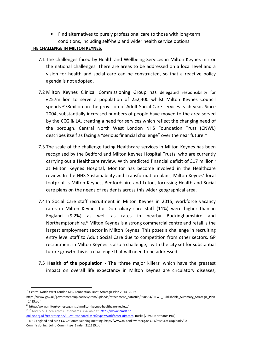• Find alternatives to purely professional care to those with long-term conditions, including self-help and wider health service options

#### THE CHALLENGE IN MILTON KEYNES:

- 7.1 The challenges faced by Health and Wellbeing Services in Milton Keynes mirror the national challenges. There are areas to be addressed on a local level and a vision for health and social care can be constructed, so that a reactive policy agenda is not adopted.
- 7.2 Milton Keynes Clinical Commissioning Group has delegated responsibility for £257million to serve a population of 252,400 whilst Milton Keynes Council spends £78milion on the provision of Adult Social Care services each year. Since 2004, substantially increased numbers of people have moved to the area served by the CCG & LA, creating a need for services which reflect the changing need of the borough. Central North West London NHS Foundation Trust (CNWL) describes itself as facing a "serious financial challenge" over the near future.<sup>24</sup>
- 7.3 The scale of the challenge facing Healthcare services in Milton Keynes has been recognised by the Bedford and Milton Keynes Hospital Trusts, who are currently carrying out a Healthcare review. With predicted financial deficit of  $£17$  million<sup>25</sup> at Milton Keynes Hospital, Monitor has become involved in the Healthcare review. In the NHS Sustainability and Transformation plans, Milton Keynes' local footprint is Milton Keynes, Bedfordshire and Luton, focussing Health and Social care plans on the needs of residents across this wider geographical area.
- 7.4 In Social Care staff recruitment in Milton Keynes in 2015, workforce vacancy rates in Milton Keynes for Domiciliary care staff (11%) were higher than in England (9.2%) as well as rates in nearby Buckinghamshire and Northamptonshire.<sup>26</sup> Milton Keynes is a strong commercial centre and retail is the largest employment sector in Milton Keynes. This poses a challenge in recruiting entry level staff to Adult Social Care due to competition from other sectors. GP recruitment in Milton Keynes is also a challenge, $27$  with the city set for substantial future growth this is a challenge that will need to be addressed.
- 7.5 Health of the population The 'three major killers' which have the greatest impact on overall life expectancy in Milton Keynes are circulatory diseases,

<sup>&</sup>lt;sup>24</sup> Central North West London NHS Foundation Trust, Strategic Plan 2014-2019

https://www.gov.uk/government/uploads/system/uploads/attachment\_data/file/390554/CNWL\_Publishable\_Summary\_Strategic\_Plan \_1415.pdf

 $\frac{1}{25}$  http://www.miltonkeynesccg.nhs.uk/milton-keynes-healthcare-review/

<sup>26 &</sup>lt;sup>26</sup> NMDS-SC Open Access Dashboards, Available at; https://www.nmds-sc-

online.org.uk/reportengine/GuestDashboard.aspx?type=WorkforceEstimates, Bucks (7.6%), Northants (9%)

<sup>&</sup>lt;sup>27</sup> NHS England and MK CCG CoCommissioning meeting, http://www.miltonkeynesccg.nhs.uk/resources/uploads/Co-Commissioning\_Joint\_Committee\_Binder\_211215.pdf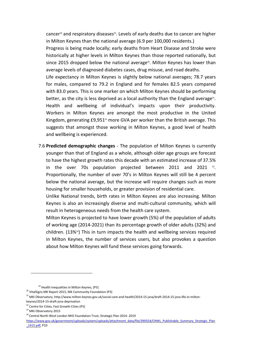cancer<sup>28</sup> and respiratory diseases<sup>29</sup>. Levels of early deaths due to cancer are higher in Milton Keynes than the national average (6.9 per 100,000 residents.)

Progress is being made locally; early deaths from Heart Disease and Stroke were historically at higher levels in Milton Keynes than those reported nationally, but since 2015 dropped below the national average<sup>30</sup>. Milton Keynes has lower than average levels of diagnosed diabetes cases, drug misuse, and road deaths.

Life expectancy in Milton Keynes is slightly below national averages; 78.7 years for males, compared to 79.2 in England and for females 82.5 years compared with 83.0 years. This is one marker on which Milton Keynes should be performing better, as the city is less deprived as a local authority than the England average $^{31}$ . Health and wellbeing of individual's impacts upon their productivity. Workers in Milton Keynes are amongst the most productive in the United Kingdom, generating  $£9,951^2$  more GVA per worker than the British average. This suggests that amongst those working in Milton Keynes, a good level of health and wellbeing is experienced.

7.6 Predicted demographic changes - The population of Milton Keynes is currently younger than that of England as a whole, although older age groups are forecast to have the highest growth rates this decade with an estimated increase of 37.5% in the over 70s population projected between  $2011$  and  $2021$   $33$ . Proportionally, the number of over 70's in Milton Keynes will still be 4 percent below the national average, but the increase will require changes such as more housing for smaller households, or greater provision of residential care.

Unlike National trends, birth rates in Milton Keynes are also increasing. Milton Keynes is also an increasingly diverse and multi-cultural community, which will result in heterogeneous needs from the health care system.

Milton Keynes is projected to have lower growth (5%) of the population of adults of working age (2014-2021) than its percentage growth of older adults (32%) and children.  $(13\%)$  This in turn impacts the health and wellbeing services required in Milton Keynes, the number of services users, but also provokes a question about how Milton Keynes will fund these services going forwards.

<sup>&</sup>lt;sup>29</sup> Health Inequalities in Milton Keynes, (P5)

<sup>30</sup> VitalSigns MK Report 2015, MK Community Foundation (P3)

<sup>31</sup> MKi Observatory, http://www.milton-keynes.gov.uk/social-care-and-health/2014-15-jsna/draft-2014-15-jsna-life-in-miltonkeynes/2014-15-draft-jsna-deprivation

<sup>&</sup>lt;sup>32</sup> Centre for Cities, Fast Growth Cities (P5)

<sup>&</sup>lt;sup>33</sup> MKi Observatory 2015

<sup>&</sup>lt;sup>34</sup> Central North West London NHS Foundation Trust, Strategic Plan 2014-2019

https://www.gov.uk/government/uploads/system/uploads/attachment\_data/file/390554/CNWL\_Publishable\_Summary\_Strategic\_Plan \_1415.pdf, P10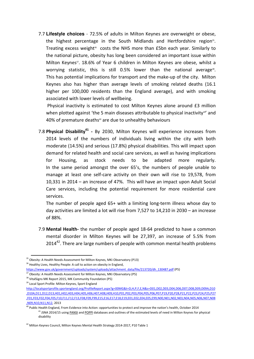7.7 **Lifestyle choices** - 72.5% of adults in Milton Keynes are overweight or obese, the highest percentage in the South Midlands and Hertfordshire region<sup>35</sup>. Treating excess weight $36$  costs the NHS more than £5bn each year. Similarly to the national picture, obesity has long been considered an important issue within Milton Keynes<sup>37</sup>. 18.6% of Year 6 children in Milton Keynes are obese, whilst a worrying statistic, this is still 0.5% lower than the national average<sup>38</sup>. This has potential implications for transport and the make-up of the city. Milton Keynes also has higher than average levels of smoking related deaths (16.1 higher per 100,000 residents than the England average), and with smoking associated with lower levels of wellbeing.

 Physical inactivity is estimated to cost Milton Keynes alone around £3 million when plotted against 'the 5 main diseases attributable to physical inactivity<sup>39'</sup> and 40% of premature deaths<sup>40</sup> are due to unhealthy behaviours

7.8 Physical Disability<sup>41</sup> - By 2030, Milton Keynes will experience increases from 2014 levels of the numbers of individuals living within the city with both moderate (14.5%) and serious (17.8%) physical disabilities. This will impact upon demand for related health and social care services, as well as having implications for Housing, as stock needs to be adapted more regularly. In the same period amongst the over 65's, the numbers of people unable to manage at least one self-care activity on their own will rise to 19,578, from 10,331 in 2014 – an increase of 47%. This will have an impact upon Adult Social Care services, including the potential requirement for more residential care services.

The number of people aged 65+ with a limiting long-term illness whose day to day activities are limited a lot will rise from 7,527 to 14,210 in 2030 – an increase of 88%.

7.9 Mental Health- the number of people aged 18-64 predicted to have a common mental disorder in Milton Keynes will be 27,397, an increase of 5.5% from  $2014^{42}$ . There are large numbers of people with common mental health problems

<sup>&</sup>lt;sup>35</sup> Obesity: A Health Needs Assessment for Milton Keynes, MKi Observatory (P13)

<sup>&</sup>lt;sup>36</sup> Healthy Lives, Healthy People: A call to action on obesity in England,

https://www.gov.uk/government/uploads/system/uploads/attachment\_data/file/213720/dh\_130487.pdf (P5)

<sup>&</sup>lt;sup>37</sup> Obesity: A Health Needs Assessment for Milton Keynes, MKi Observatory (P5)

<sup>38</sup> VitalSigns MK Report 2015, MK Community Foundation (P5)

<sup>&</sup>lt;sup>39</sup> Local Sport Profile: Milton Keynes, Sport England

http://localsportprofile.sportengland.org/ProfileReport.aspx?g=00MG&t=D,H,P,F,E,N&s=D01,D02,D03,D04,D06,D07,D08,D09,D09A,D10 ,D10A,D11,D12,D13,H01,H02,H03,H04,H05,H06,H07,H08,H09,H10,P01,P02,P03,P04,P05,P06,P07,P19,P20,P28,P21,P22,P23,P24,P25,P27 ,F01,F03,F02,F04,F05,F10,F11,F12,F13,F08,F09,F99,E15,E16,E17,E18,E19,E01,E02,E04,E05,E99,N00,N01,N02,N03,N04,N05,N06,N07,N08 ,N09,N10,N11,N12, 2013

<sup>&</sup>lt;sup>40</sup> Public Health England, From Evidence into Action: opportunities to protect and improve the nation's health, October 2014 <sup>41</sup> JSNA 2014/15 using PANSI and POPPI databases and outlines of the estimated levels of need in Milton Keynes for physical disability

<sup>&</sup>lt;sup>42</sup> Milton Keynes Council, Milton Keynes Mental Health Strategy 2014-2017, P10 Table 1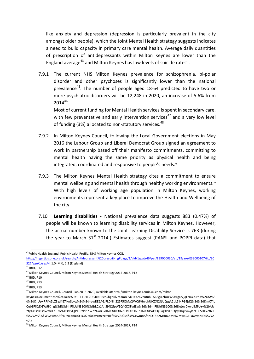like anxiety and depression (depression is particularly prevalent in the city amongst older people), which the Joint Mental Health strategy suggests indicates a need to build capacity in primary care mental health. Average daily quantities of prescription of antidepressants within Milton Keynes are lower than the England average $43$  and Milton Keynes has low levels of suicide rates $44$ .

7.9.1 The current NHS Milton Keynes prevalence for schizophrenia, bi-polar disorder and other psychoses is significantly lower than the national prevalence<sup>45</sup>. The number of people aged 18-64 predicted to have two or more psychiatric disorders will be 12,248 in 2020, an increase of 5.6% from  $2014^{46}$ .

Most of current funding for Mental Health services is spent in secondary care, with few preventative and early intervention services<sup>47</sup> and a very low level of funding (3%) allocated to non-statutory services.<sup>48</sup>

- 7.9.2 In Milton Keynes Council, following the Local Government elections in May 2016 the Labour Group and Liberal Democrat Group signed an agreement to work in partnership based off their manifesto commitments, committing to mental health having the same priority as physical health and being integrated, coordinated and responsive to people's needs.<sup>49</sup>
- 7.9.3 The Milton Keynes Mental Health strategy cites a commitment to ensure mental wellbeing and mental health through healthy working environments.<sup>50</sup> With high levels of working age population in Milton Keynes, working environments represent a key place to improve the Health and Wellbeing of the city.
- 7.10 Learning disabilities National prevalence data suggests 883 (0.47%) of people will be known to learning disability services in Milton Keynes. However, the actual number known to the Joint Learning Disability Service is 763 (during the year to March  $31<sup>st</sup>$  2014.) Estimates suggest (PANSI and POPPI data) that

<sup>-</sup><sup>43</sup>Public Health England, Public Health Profile, NHS Milton Keynes CCG,

http://fingertips.phe.org.uk/search/Antidepressant%20prescribing#page/1/gid/1/pat/46/par/E39000030/ati/19/are/E38000107/iid/90 527/age/1/sex/4, 1.0 (MK), 1.3 (England)

 $44$  IBID, P12

<sup>45</sup> Milton Keynes Council, Milton Keynes Mental Health Strategy 2014-2017, P12

<sup>46</sup> IBID, P10

<sup>47</sup> IBID, P13

<sup>48</sup> IBID, P13

<sup>49</sup> Milton Keynes Council, Council Plan 2016-2020, Available at: http://milton-keynes.cmis.uk.com/milton-

keynes/Document.ashx?czJKcaeAi5tUFL1DTL2UE4zNRBcoShgo=l7pt3mB9vU1eAh0ZcutubiPS66g%2bUzW9x1gar7jqLcmYoJzh3W2OfA%3 d%3d&rUzwRPf%2bZ3zd4E7Ikn8Lyw%3d%3d=pwRE6AGJFLDNlh225F5QMaQWCtPHwdhUfCZ%2fLUQzgA2uL5jNRG4jdQ%3d%3d&mCTIb CubSFfXsDGW9IXnlg%3d%3d=hFflUdN3100%3d&kCx1AnS9%2fpWZQ40DXFvdEw%3d%3d=hFflUdN3100%3d&uJovDxwdjMPoYv%2bAJv YtyA%3d%3d=ctNJFf55vVA%3d&FgPlIEJYlotS%2bYGoBi5olA%3d%3d=NHdURQburHA%3d&d9Qjj0ag1Pd993jsyOJqFvmyB7X0CSQK=ctNJF f55vVA%3d&WGewmoAfeNR9xqBux0r1Q8Za60lavYmz=ctNJFf55vVA%3d&WGewmoAfeNQ16B2MHuCpMRKZMwaG1PaO=ctNJFf55vVA %3d

<sup>&</sup>lt;sup>50</sup> Milton Keynes Council, Milton Keynes Mental Health Strategy 2014-2017, P14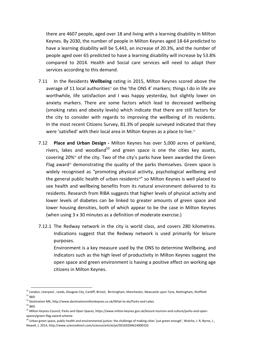there are 4607 people, aged over 18 and living with a learning disability in Milton Keynes. By 2030, the number of people in Milton Keynes aged 18-64 predicted to have a learning disability will be 5,443, an increase of 20.3%, and the number of people aged over 65 predicted to have a learning disability will increase by 53.8% compared to 2014. Health and Social care services will need to adapt their services according to this demand.

- 7.11 In the Residents Wellbeing rating in 2015, Milton Keynes scored above the average of 11 local authorities<sup>51</sup> on the 'the ONS 4' markers; things I do in life are worthwhile, life satisfaction and I was happy yesterday, but slightly lower on anxiety markers. There are some factors which lead to decreased wellbeing (smoking rates and obesity levels) which indicate that there are still factors for the city to consider with regards to improving the wellbeing of its residents. In the most recent Citizens Survey, 81.3% of people surveyed indicated that they were 'satisfied' with their local area in Milton Keynes as a place to live.<sup>52</sup>
- 7.12 Place and Urban Design Milton Keynes has over 5,000 acres of parkland, rivers, lakes and woodland<sup>53</sup> and green space is one the cities key assets, covering 20%54 of the city. Two of the city's parks have been awarded the Green Flag award<sup>55</sup> demonstrating the quality of the parks themselves. Green space is widely recognised as "promoting physical activity, psychological wellbeing and the general public health of urban residents<sup>56"</sup> so Milton Keynes is well placed to see health and wellbeing benefits from its natural environment delivered to its residents. Research from RIBA suggests that higher levels of physical activity and lower levels of diabetes can be linked to greater amounts of green space and lower housing densities, both of which appear to be the case in Milton Keynes (when using 3 x 30 minutes as a definition of moderate exercise.)
- 7.12.1 The Redway network in the city is world class, and covers 280 kilometres. Indications suggest that the Redway network is used primarily for leisure purposes.

Environment is a key measure used by the ONS to determine Wellbeing, and indicators such as the high level of productivity in Milton Keynes suggest the open space and green environment is having a positive effect on working age citizens in Milton Keynes.

<sup>51</sup> London, Liverpool, Leeds, Glasgow City, Cardiff, Bristol, Birmingham, Manchester, Newcastle upon Tyne, Nottingham, Sheffield <sup>52</sup> IBID

<sup>53</sup> Destination MK, http://www.destinationmiltonkeynes.co.uk/What-to-do/Parks-and-Lakes

<sup>54</sup> IBID

<sup>55</sup> Milton Keynes Council, Parks and Open Spaces, https://www.milton-keynes.gov.uk/leisure-tourism-and-culture/parks-and-openspaces/green-flag-award-scheme

<sup>&</sup>lt;sup>56</sup> Urban green space, public health and environmental justice: the challenge of making cities 'just green enough', Wolche, J. R, Byrne, J., Newell, J, 2014, http://www.sciencedirect.com/science/article/pii/S0169204614000310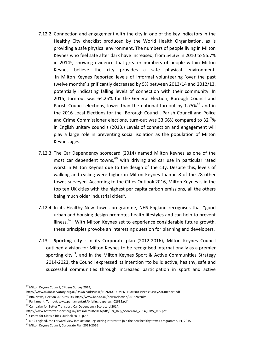- 7.12.2 Connection and engagement with the city in one of the key indicators in the Healthy City checklist produced by the World Health Organisation, as is providing a safe physical environment. The numbers of people living in Milton Keynes who feel safe after dark have increased, from 54.3% in 2010 to 55.7% in 2014<sup>57</sup>, showing evidence that greater numbers of people within Milton Keynes believe the city provides a safe physical environment. In Milton Keynes Reported levels of informal volunteering 'over the past twelve months' significantly decreased by 5% between 2013/14 and 2012/13, potentially indicating falling levels of connection with their community. In 2015, turn-out was 64.25% for the General Election, Borough Council and Parish Council elections, lower than the national turnout by  $1.75\%^{58}$  and in the 2016 Local Elections for the Borough Council, Parish Council and Police and Crime Commissioner elections, turn-out was 33.66% compared to  $32^{59}$ % in English unitary councils (2013.) Levels of connection and engagement will play a large role in preventing social isolation as the population of Milton Keynes ages.
- 7.12.3 The Car Dependency scorecard (2014) named Milton Keynes as one of the most car dependent towns, $60$  with driving and car use in particular rated worst in Milton Keynes due to the design of the city. Despite this, levels of walking and cycling were higher in Milton Keynes than in 8 of the 28 other towns surveyed. According to the Cities Outlook 2016, Milton Keynes is in the top ten UK cities with the highest per capita carbon emissions, all the others being much older industrial cities<sup>61</sup>.
- 7.12.4 In its Healthy New Towns programme, NHS England recognises that "good urban and housing design promotes health lifestyles and can help to prevent illness.<sup>62</sup>" With Milton Keynes set to experience considerable future growth, these principles provoke an interesting question for planning and developers.
- 7.13 Sporting city In its Corporate plan (2012-2016), Milton Keynes Council outlined a vision for Milton Keynes to be recognised internationally as a premier sporting city<sup>63</sup>, and in the Milton Keynes Sport & Active Communities Strategy 2014-2023, the Council expressed its intention "to build active, healthy, safe and successful communities through increased participation in sport and active

<sup>&</sup>lt;sup>57</sup> Milton Keynes Council, Citizens Survey 2014,

http://www.mkiobservatory.org.uk/Download/Public/1026/DOCUMENT/10468/CitizensSurvey2014Report.pdf

<sup>58</sup> BBC News, Election 2015 results, http://www.bbc.co.uk/news/election/2015/results

<sup>59</sup> Parliament, Turnout, www.parliament.uk/briefing-papers/sn02633.pdf

<sup>&</sup>lt;sup>60</sup> Campaign for Better Transport, Car Dependency Scorecard 2014,

http://www.bettertransport.org.uk/sites/default/files/pdfs/Car\_Dep\_Scorecard\_2014\_LOW\_RES.pdf

<sup>&</sup>lt;sup>61</sup> Centre for Cities, Cities Outlook 2016, p.56

 $62$  NHS England, the Forward View into action: Registering interest to join the new healthy towns programme, P1, 2015

<sup>63</sup> Milton Keynes Council, Corporate Plan 2012-2016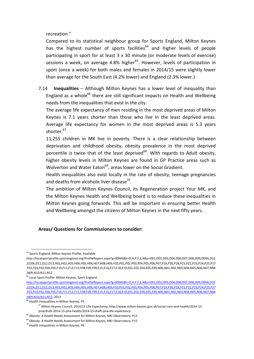recreation."

Compared to its statistical neighbour group for Sports England, Milton Keynes has the highest number of sports facilities $^{64}$  and higher levels of people participating in sport for at least 3 x 30 minute (or moderate levels of exercise) sessions a week, on average 4.8% higher<sup>65</sup>. However, levels of participation in sport (once a week) for both males and females in 2014/15 were slightly lower than average for the South East (4.2% lower) and England (2.3% lower.)

7.14 Inequalities – Although Milton Keynes has a lower level of inequality than England as a whole<sup>66</sup> there are still significant impacts on Health and Wellbeing needs from the inequalities that exist in the city.

The average life expectancy of men residing in the most deprived areas of Milton Keynes is 7.1 years shorter than those who live in the least deprived areas. Average life expectancy for women in the most deprived areas is 5.3 years shorter.<sup>67</sup>

11,255 children in MK live in poverty. There is a clear relationship between deprivation and childhood obesity, obesity prevalence in the most deprived percentile is twice that of the least deprived<sup>68</sup>. With regards to Adult obesity, higher obesity levels in Milton Keynes are found in GP Practice areas such as Wolverton and Water Eaton<sup>69</sup>, areas lower on the Social Gradient.

Health inequalities also exist locally in the rate of obesity, teenage pregnancies and deaths from alcoholic liver disease<sup>70</sup>.

The ambition of Milton Keynes Council, its Regeneration project Your MK, and the Milton Keynes Health and Wellbeing board is to reduce these inequalities in Milton Keynes going forwards. This will be important in ensuring better Health and Wellbeing amongst the citizens of Milton Keynes in the next fifty years.

#### Areas/ Questions for Commissioners to consider:

<sup>-</sup><sup>64</sup> Sports England, Milton Keynes Profile, Available

http://localsportprofile.sportengland.org/ProfileReport.aspx?g=00MG&t=D,H,P,F,E,N&s=D01,D02,D03,D04,D06,D07,D08,D09,D09A,D10 ,D10A,D11,D12,D13,H01,H02,H03,H04,H05,H06,H07,H08,H09,H10,P01,P02,P03,P04,P05,P06,P07,P19,P20,P28,P21,P22,P23,P24,P25,P27 ,F01,F03,F02,F04,F05,F10,F11,F12,F13,F08,F09,F99,E15,E16,E17,E18,E19,E01,E02,E04,E05,E99,N00,N01,N02,N03,N04,N05,N06,N07,N08 ,N09,N10,N11,N12

<sup>&</sup>lt;sup>65</sup> Local Sport Profile: Milton Keynes, Sport England

http://localsportprofile.sportengland.org/ProfileReport.aspx?g=00MG&t=D,H,P,F,E,N&s=D01,D02,D03,D04,D06,D07,D08,D09,D09A,D10 ,D10A,D11,D12,D13,H01,H02,H03,H04,H05,H06,H07,H08,H09,H10,P01,P02,P03,P04,P05,P06,P07,P19,P20,P28,P21,P22,P23,P24,P25,P27 ,F01,F03,F02,F04,F05,F10,F11,F12,F13,F08,F09,F99,E15,E16,E17,E18,E19,E01,E02,E04,E05,E99,N00,N01,N02,N03,N04,N05,N06,N07,N08 ,N09,N10,N11,N12, 2013

 $\overline{66}$  Health Inequalities in Milton Keynes, P5

<sup>67</sup> Milton Keynes Council, 2014/15 Life Expectancy, http://www.milton-keynes.gov.uk/social-care-and-health/2014-15 jsna/draft-2014-15-jsna-health/2014-15-draft-jsna-life-expectancy

<sup>&</sup>lt;sup>68</sup> Obesity: A Health Needs Assessment for Milton Keynes, MKi Observatory, P12

 $^{69}$  Obesity: A Health Needs Assessment for Milton Keynes, MKi Observatory, P15

<sup>70</sup> Health Inequalities in Milton Keynes, P6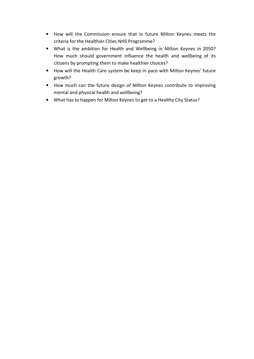- How will the Commission ensure that in future Milton Keynes meets the criteria for the Healthier Cities NHS Programme?
- What is the ambition for Health and Wellbeing in Milton Keynes in 2050? How much should government influence the health and wellbeing of its citizens by prompting them to make healthier choices?
- How will the Health Care system be keep in pace with Milton Keynes' future growth?
- How much can the future design of Milton Keynes contribute to improving mental and physical health and wellbeing?
- What has to happen for Milton Keynes to get to a Healthy City Status?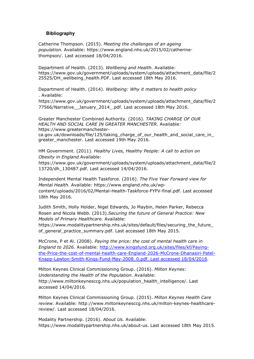#### **Bibliography**

Catherine Thompson. (2015). Meeting the challenges of an ageing population. Available: https://www.england.nhs.uk/2015/02/catherinethompson/. Last accessed 18/04/2016.

Department of Health. (2013). Wellbeing and Health. Available: https://www.gov.uk/government/uploads/system/uploads/attachment\_data/file/2 25525/DH\_wellbeing\_health.PDF. Last accessed 18th May 2016.

Department of Health. (2014). Wellbeing: Why it matters to health policy . Available:

https://www.gov.uk/government/uploads/system/uploads/attachment\_data/file/2 77566/Narrative\_\_January\_2014\_.pdf. Last accessed 18th May 2016.

Greater Manchester Combined Authority. (2016). TAKING CHARGE OF OUR HEALTH AND SOCIAL CARE IN GREATER MANCHESTER. Available: https://www.greatermanchesterca.gov.uk/downloads/file/125/taking\_charge\_of\_our\_health\_and\_social\_care\_in\_

greater\_manchester. Last accessed 19th May 2016.

HM Government. (2011). Healthy Lives, Healthy People: A call to action on Obesity in England.Available:

https://www.gov.uk/government/uploads/system/uploads/attachment\_data/file/2 13720/dh\_130487.pdf. Last accessed 14/04/2016.

Independent Mental Health Taskforce. (2016). The Five Year Forward view for Mental Health. Available: https://www.england.nhs.uk/wpcontent/uploads/2016/02/Mental-Health-Taskforce-FYFV-final.pdf. Last accessed 18th May 2016.

Judith Smith, Holly Holder, Nigel Edwards, Jo Maybin, Helen Parker, Rebecca Rosen and Nicola Webb. (2013).Securing the future of General Practice: New Models of Primary Healthcare. Available:

https://www.modalitypartnership.nhs.uk/sites/default/files/securing\_the\_future\_ of general practice summary.pdf. Last accessed 18th May 2015.

McCrone, P et Al. (2008). Paying the price: the cost of mental health care in England to 2026. Available: http://www.kingsfund.org.uk/sites/files/kf/Payingthe-Price-the-cost-of-mental-health-care-England-2026-McCrone-Dhanasiri-Patel-Knapp-Lawton-Smith-Kings-Fund-May-2008\_0.pdf. Last accessed 18/04/2016.

Milton Keynes Clinical Commissioning Group. (2016). Milton Keynes: Understanding the Health of the Population. Available: http://www.miltonkeynesccg.nhs.uk/population\_health\_intelligence/. Last accessed 14/04/2016.

Milton Keynes Clinical Commissioning Group. (2015). Milton Keynes Health Care review. Available: http://www.miltonkeynesccg.nhs.uk/milton-keynes-healthcarereview/. Last accessed 18/04/2016.

Modality Partnership. (2016). About Us. Available: https://www.modalitypartnership.nhs.uk/about-us. Last accessed 18th May 2015.